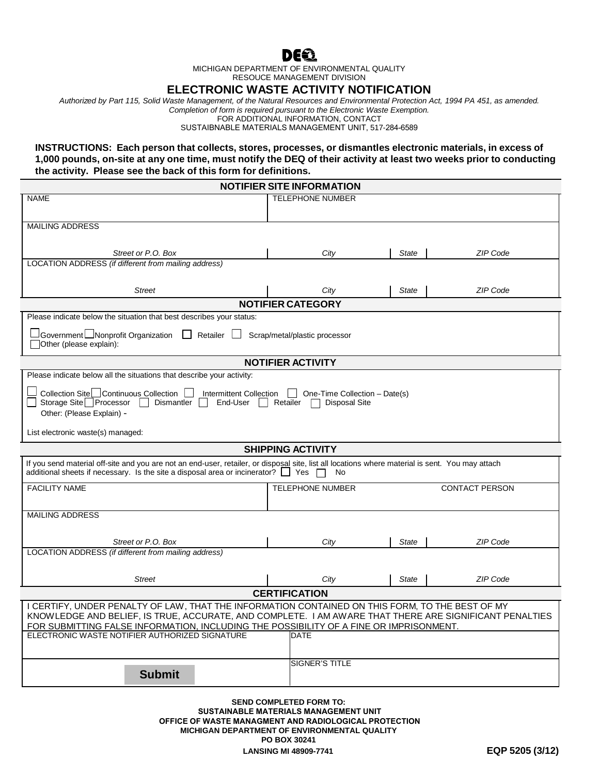

MICHIGAN DEPARTMENT OF ENVIRONMENTAL QUALITY RESOUCE MANAGEMENT DIVISION

## **ELECTRONIC WASTE ACTIVITY NOTIFICATION**

*Authorized by Part 115, Solid Waste Management, of the Natural Resources and Environmental Protection Act, 1994 PA 451, as amended. Completion of form is required pursuant to the Electronic Waste Exemption.*

FOR ADDITIONAL INFORMATION, CONTACT

SUSTAIBNABLE MATERIALS MANAGEMENT UNIT, 517-284-6589

**INSTRUCTIONS: Each person that collects, stores, processes, or dismantles electronic materials, in excess of 1,000 pounds, on-site at any one time, must notify the DEQ of their activity at least two weeks prior to conducting the activity. Please see the back of this form for definitions.**

| <b>NOTIFIER SITE INFORMATION</b>                                                                                                                                                                                                                        |                         |              |                       |
|---------------------------------------------------------------------------------------------------------------------------------------------------------------------------------------------------------------------------------------------------------|-------------------------|--------------|-----------------------|
| <b>NAME</b>                                                                                                                                                                                                                                             | <b>TELEPHONE NUMBER</b> |              |                       |
|                                                                                                                                                                                                                                                         |                         |              |                       |
| <b>MAILING ADDRESS</b>                                                                                                                                                                                                                                  |                         |              |                       |
|                                                                                                                                                                                                                                                         |                         |              |                       |
|                                                                                                                                                                                                                                                         |                         |              |                       |
| Street or P.O. Box<br>LOCATION ADDRESS (if different from mailing address)                                                                                                                                                                              | City                    | State        | ZIP Code              |
|                                                                                                                                                                                                                                                         |                         |              |                       |
|                                                                                                                                                                                                                                                         |                         |              |                       |
| <b>Street</b>                                                                                                                                                                                                                                           | City                    | <b>State</b> | ZIP Code              |
| <b>NOTIFIER CATEGORY</b>                                                                                                                                                                                                                                |                         |              |                       |
| Please indicate below the situation that best describes your status:                                                                                                                                                                                    |                         |              |                       |
| $\sqcup$ Government $\sqcup$ Nonprofit Organization $\;\;\Box\;$ Retailer $\;\sqcup\;$<br>Scrap/metal/plastic processor<br>Other (please explain):                                                                                                      |                         |              |                       |
| <b>NOTIFIER ACTIVITY</b>                                                                                                                                                                                                                                |                         |              |                       |
| Please indicate below all the situations that describe your activity:                                                                                                                                                                                   |                         |              |                       |
|                                                                                                                                                                                                                                                         |                         |              |                       |
| Collection Site Continuous Collection   Intermittent Collection<br>One-Time Collection - Date(s)<br>Storage Site <sub>D</sub> Processor<br>Dismantler<br>End-User    <br>Retailer<br><b>Disposal Site</b><br>Other: (Please Explain) -                  |                         |              |                       |
| List electronic waste(s) managed:                                                                                                                                                                                                                       |                         |              |                       |
| <b>SHIPPING ACTIVITY</b>                                                                                                                                                                                                                                |                         |              |                       |
| If you send material off-site and you are not an end-user, retailer, or disposal site, list all locations where material is sent. You may attach<br>additional sheets if necessary. Is the site a disposal area or incinerator? $\Box$ Yes $\Box$<br>No |                         |              |                       |
| <b>FACILITY NAME</b>                                                                                                                                                                                                                                    | <b>TELEPHONE NUMBER</b> |              | <b>CONTACT PERSON</b> |
|                                                                                                                                                                                                                                                         |                         |              |                       |
| <b>MAILING ADDRESS</b>                                                                                                                                                                                                                                  |                         |              |                       |
|                                                                                                                                                                                                                                                         |                         |              |                       |
|                                                                                                                                                                                                                                                         |                         |              |                       |
| Street or P.O. Box                                                                                                                                                                                                                                      | City                    | <b>State</b> | <b>ZIP Code</b>       |
|                                                                                                                                                                                                                                                         |                         |              |                       |
| LOCATION ADDRESS (if different from mailing address)                                                                                                                                                                                                    |                         |              |                       |
|                                                                                                                                                                                                                                                         |                         |              |                       |
| <b>Street</b>                                                                                                                                                                                                                                           | City                    | State        | ZIP Code              |
|                                                                                                                                                                                                                                                         | <b>CERTIFICATION</b>    |              |                       |
| I CERTIFY, UNDER PENALTY OF LAW, THAT THE INFORMATION CONTAINED ON THIS FORM, TO THE BEST OF MY<br>KNOWLEDGE AND BELIEF, IS TRUE, ACCURATE, AND COMPLETE. I AM AWARE THAT THERE ARE SIGNIFICANT PENALTIES                                               |                         |              |                       |
| FOR SUBMITTING FALSE INFORMATION, INCLUDING THE POSSIBILITY OF A FINE OR IMPRISONMENT.<br>ELECTRONIC WASTE NOTIFIER AUTHORIZED SIGNATURE                                                                                                                | <b>DATE</b>             |              |                       |
|                                                                                                                                                                                                                                                         |                         |              |                       |
|                                                                                                                                                                                                                                                         |                         |              |                       |
|                                                                                                                                                                                                                                                         | <b>SIGNER'S TITLE</b>   |              |                       |
| <b>Submit</b>                                                                                                                                                                                                                                           |                         |              |                       |